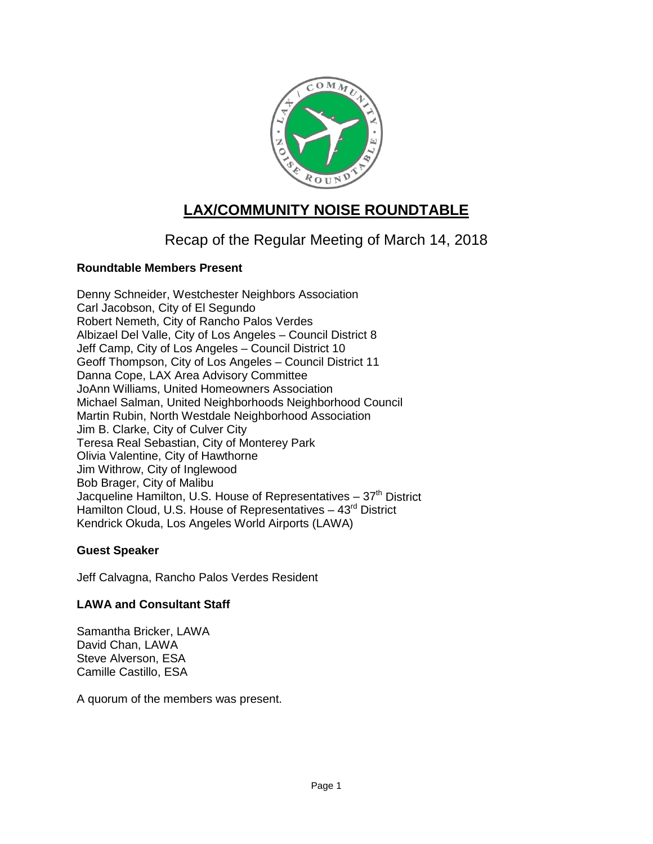

# **LAX/COMMUNITY NOISE ROUNDTABLE**

## Recap of the Regular Meeting of March 14, 2018

## **Roundtable Members Present**

Denny Schneider, Westchester Neighbors Association Carl Jacobson, City of El Segundo Robert Nemeth, City of Rancho Palos Verdes Albizael Del Valle, City of Los Angeles – Council District 8 Jeff Camp, City of Los Angeles – Council District 10 Geoff Thompson, City of Los Angeles – Council District 11 Danna Cope, LAX Area Advisory Committee JoAnn Williams, United Homeowners Association Michael Salman, United Neighborhoods Neighborhood Council Martin Rubin, North Westdale Neighborhood Association Jim B. Clarke, City of Culver City Teresa Real Sebastian, City of Monterey Park Olivia Valentine, City of Hawthorne Jim Withrow, City of Inglewood Bob Brager, City of Malibu Jacqueline Hamilton, U.S. House of Representatives  $-37<sup>th</sup>$  District Hamilton Cloud, U.S. House of Representatives  $-43<sup>rd</sup>$  District Kendrick Okuda, Los Angeles World Airports (LAWA)

## **Guest Speaker**

Jeff Calvagna, Rancho Palos Verdes Resident

## **LAWA and Consultant Staff**

Samantha Bricker, LAWA David Chan, LAWA Steve Alverson, ESA Camille Castillo, ESA

A quorum of the members was present.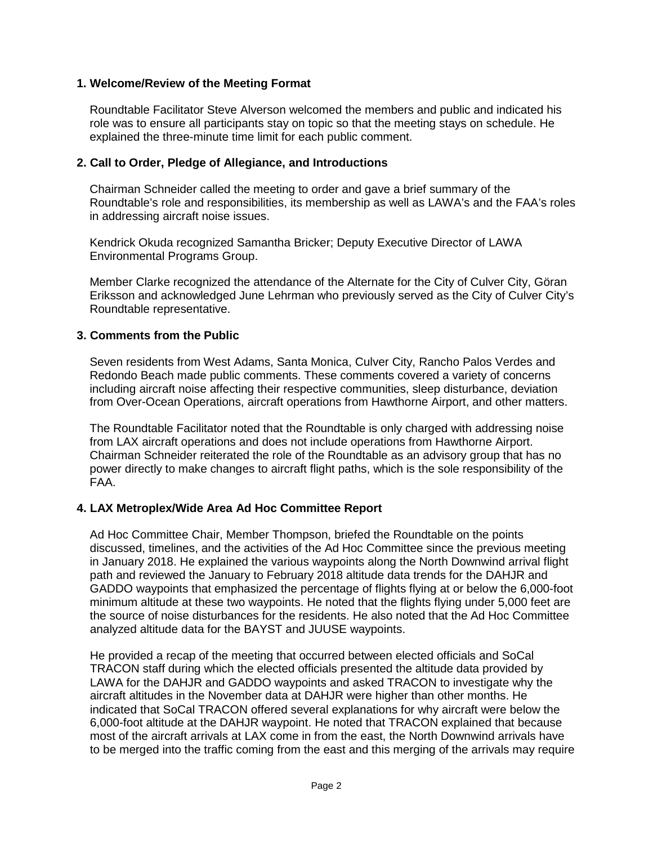#### **1. Welcome/Review of the Meeting Format**

Roundtable Facilitator Steve Alverson welcomed the members and public and indicated his role was to ensure all participants stay on topic so that the meeting stays on schedule. He explained the three-minute time limit for each public comment.

#### **2. Call to Order, Pledge of Allegiance, and Introductions**

Chairman Schneider called the meeting to order and gave a brief summary of the Roundtable's role and responsibilities, its membership as well as LAWA's and the FAA's roles in addressing aircraft noise issues.

Kendrick Okuda recognized Samantha Bricker; Deputy Executive Director of LAWA Environmental Programs Group.

Member Clarke recognized the attendance of the Alternate for the City of Culver City, Göran Eriksson and acknowledged June Lehrman who previously served as the City of Culver City's Roundtable representative.

#### **3. Comments from the Public**

Seven residents from West Adams, Santa Monica, Culver City, Rancho Palos Verdes and Redondo Beach made public comments. These comments covered a variety of concerns including aircraft noise affecting their respective communities, sleep disturbance, deviation from Over-Ocean Operations, aircraft operations from Hawthorne Airport, and other matters.

The Roundtable Facilitator noted that the Roundtable is only charged with addressing noise from LAX aircraft operations and does not include operations from Hawthorne Airport. Chairman Schneider reiterated the role of the Roundtable as an advisory group that has no power directly to make changes to aircraft flight paths, which is the sole responsibility of the FAA.

#### **4. LAX Metroplex/Wide Area Ad Hoc Committee Report**

Ad Hoc Committee Chair, Member Thompson, briefed the Roundtable on the points discussed, timelines, and the activities of the Ad Hoc Committee since the previous meeting in January 2018. He explained the various waypoints along the North Downwind arrival flight path and reviewed the January to February 2018 altitude data trends for the DAHJR and GADDO waypoints that emphasized the percentage of flights flying at or below the 6,000-foot minimum altitude at these two waypoints. He noted that the flights flying under 5,000 feet are the source of noise disturbances for the residents. He also noted that the Ad Hoc Committee analyzed altitude data for the BAYST and JUUSE waypoints.

He provided a recap of the meeting that occurred between elected officials and SoCal TRACON staff during which the elected officials presented the altitude data provided by LAWA for the DAHJR and GADDO waypoints and asked TRACON to investigate why the aircraft altitudes in the November data at DAHJR were higher than other months. He indicated that SoCal TRACON offered several explanations for why aircraft were below the 6,000-foot altitude at the DAHJR waypoint. He noted that TRACON explained that because most of the aircraft arrivals at LAX come in from the east, the North Downwind arrivals have to be merged into the traffic coming from the east and this merging of the arrivals may require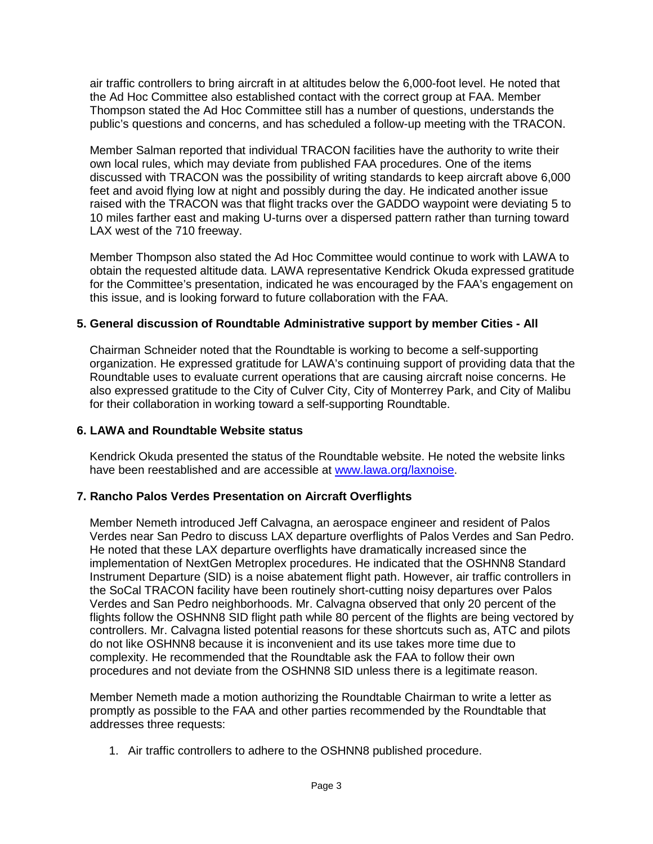air traffic controllers to bring aircraft in at altitudes below the 6,000-foot level. He noted that the Ad Hoc Committee also established contact with the correct group at FAA. Member Thompson stated the Ad Hoc Committee still has a number of questions, understands the public's questions and concerns, and has scheduled a follow-up meeting with the TRACON.

Member Salman reported that individual TRACON facilities have the authority to write their own local rules, which may deviate from published FAA procedures. One of the items discussed with TRACON was the possibility of writing standards to keep aircraft above 6,000 feet and avoid flying low at night and possibly during the day. He indicated another issue raised with the TRACON was that flight tracks over the GADDO waypoint were deviating 5 to 10 miles farther east and making U-turns over a dispersed pattern rather than turning toward LAX west of the 710 freeway.

Member Thompson also stated the Ad Hoc Committee would continue to work with LAWA to obtain the requested altitude data. LAWA representative Kendrick Okuda expressed gratitude for the Committee's presentation, indicated he was encouraged by the FAA's engagement on this issue, and is looking forward to future collaboration with the FAA.

#### **5. General discussion of Roundtable Administrative support by member Cities - All**

Chairman Schneider noted that the Roundtable is working to become a self-supporting organization. He expressed gratitude for LAWA's continuing support of providing data that the Roundtable uses to evaluate current operations that are causing aircraft noise concerns. He also expressed gratitude to the City of Culver City, City of Monterrey Park, and City of Malibu for their collaboration in working toward a self-supporting Roundtable.

#### **6. LAWA and Roundtable Website status**

Kendrick Okuda presented the status of the Roundtable website. He noted the website links have been reestablished and are accessible at [www.lawa.org/laxnoise.](http://www.lawa.org/laxnoise)

#### **7. Rancho Palos Verdes Presentation on Aircraft Overflights**

Member Nemeth introduced Jeff Calvagna, an aerospace engineer and resident of Palos Verdes near San Pedro to discuss LAX departure overflights of Palos Verdes and San Pedro. He noted that these LAX departure overflights have dramatically increased since the implementation of NextGen Metroplex procedures. He indicated that the OSHNN8 Standard Instrument Departure (SID) is a noise abatement flight path. However, air traffic controllers in the SoCal TRACON facility have been routinely short-cutting noisy departures over Palos Verdes and San Pedro neighborhoods. Mr. Calvagna observed that only 20 percent of the flights follow the OSHNN8 SID flight path while 80 percent of the flights are being vectored by controllers. Mr. Calvagna listed potential reasons for these shortcuts such as, ATC and pilots do not like OSHNN8 because it is inconvenient and its use takes more time due to complexity. He recommended that the Roundtable ask the FAA to follow their own procedures and not deviate from the OSHNN8 SID unless there is a legitimate reason.

Member Nemeth made a motion authorizing the Roundtable Chairman to write a letter as promptly as possible to the FAA and other parties recommended by the Roundtable that addresses three requests:

1. Air traffic controllers to adhere to the OSHNN8 published procedure.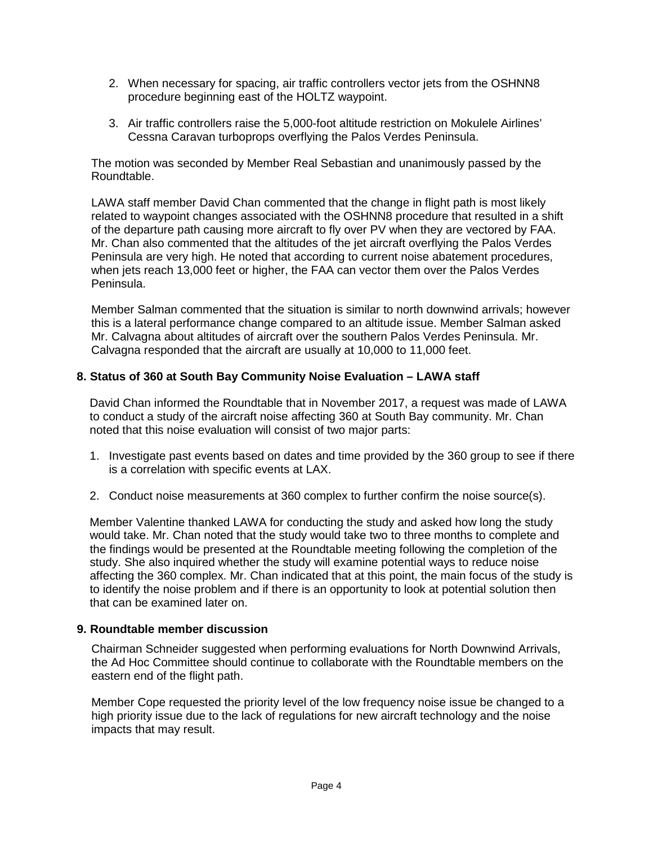- 2. When necessary for spacing, air traffic controllers vector jets from the OSHNN8 procedure beginning east of the HOLTZ waypoint.
- 3. Air traffic controllers raise the 5,000-foot altitude restriction on Mokulele Airlines' Cessna Caravan turboprops overflying the Palos Verdes Peninsula.

The motion was seconded by Member Real Sebastian and unanimously passed by the Roundtable.

LAWA staff member David Chan commented that the change in flight path is most likely related to waypoint changes associated with the OSHNN8 procedure that resulted in a shift of the departure path causing more aircraft to fly over PV when they are vectored by FAA. Mr. Chan also commented that the altitudes of the jet aircraft overflying the Palos Verdes Peninsula are very high. He noted that according to current noise abatement procedures, when jets reach 13,000 feet or higher, the FAA can vector them over the Palos Verdes Peninsula.

Member Salman commented that the situation is similar to north downwind arrivals; however this is a lateral performance change compared to an altitude issue. Member Salman asked Mr. Calvagna about altitudes of aircraft over the southern Palos Verdes Peninsula. Mr. Calvagna responded that the aircraft are usually at 10,000 to 11,000 feet.

#### **8. Status of 360 at South Bay Community Noise Evaluation – LAWA staff**

David Chan informed the Roundtable that in November 2017, a request was made of LAWA to conduct a study of the aircraft noise affecting 360 at South Bay community. Mr. Chan noted that this noise evaluation will consist of two major parts:

- 1. Investigate past events based on dates and time provided by the 360 group to see if there is a correlation with specific events at LAX.
- 2. Conduct noise measurements at 360 complex to further confirm the noise source(s).

Member Valentine thanked LAWA for conducting the study and asked how long the study would take. Mr. Chan noted that the study would take two to three months to complete and the findings would be presented at the Roundtable meeting following the completion of the study. She also inquired whether the study will examine potential ways to reduce noise affecting the 360 complex. Mr. Chan indicated that at this point, the main focus of the study is to identify the noise problem and if there is an opportunity to look at potential solution then that can be examined later on.

#### **9. Roundtable member discussion**

Chairman Schneider suggested when performing evaluations for North Downwind Arrivals, the Ad Hoc Committee should continue to collaborate with the Roundtable members on the eastern end of the flight path.

Member Cope requested the priority level of the low frequency noise issue be changed to a high priority issue due to the lack of regulations for new aircraft technology and the noise impacts that may result.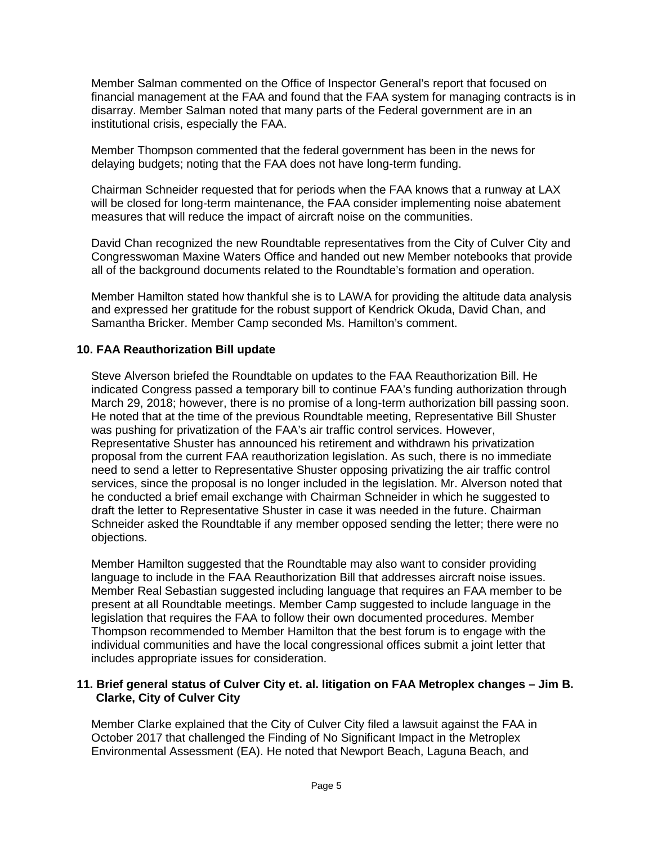Member Salman commented on the Office of Inspector General's report that focused on financial management at the FAA and found that the FAA system for managing contracts is in disarray. Member Salman noted that many parts of the Federal government are in an institutional crisis, especially the FAA.

Member Thompson commented that the federal government has been in the news for delaying budgets; noting that the FAA does not have long-term funding.

Chairman Schneider requested that for periods when the FAA knows that a runway at LAX will be closed for long-term maintenance, the FAA consider implementing noise abatement measures that will reduce the impact of aircraft noise on the communities.

David Chan recognized the new Roundtable representatives from the City of Culver City and Congresswoman Maxine Waters Office and handed out new Member notebooks that provide all of the background documents related to the Roundtable's formation and operation.

Member Hamilton stated how thankful she is to LAWA for providing the altitude data analysis and expressed her gratitude for the robust support of Kendrick Okuda, David Chan, and Samantha Bricker. Member Camp seconded Ms. Hamilton's comment.

## **10. FAA Reauthorization Bill update**

Steve Alverson briefed the Roundtable on updates to the FAA Reauthorization Bill. He indicated Congress passed a temporary bill to continue FAA's funding authorization through March 29, 2018; however, there is no promise of a long-term authorization bill passing soon. He noted that at the time of the previous Roundtable meeting, Representative Bill Shuster was pushing for privatization of the FAA's air traffic control services. However, Representative Shuster has announced his retirement and withdrawn his privatization proposal from the current FAA reauthorization legislation. As such, there is no immediate need to send a letter to Representative Shuster opposing privatizing the air traffic control services, since the proposal is no longer included in the legislation. Mr. Alverson noted that he conducted a brief email exchange with Chairman Schneider in which he suggested to draft the letter to Representative Shuster in case it was needed in the future. Chairman Schneider asked the Roundtable if any member opposed sending the letter; there were no objections.

Member Hamilton suggested that the Roundtable may also want to consider providing language to include in the FAA Reauthorization Bill that addresses aircraft noise issues. Member Real Sebastian suggested including language that requires an FAA member to be present at all Roundtable meetings. Member Camp suggested to include language in the legislation that requires the FAA to follow their own documented procedures. Member Thompson recommended to Member Hamilton that the best forum is to engage with the individual communities and have the local congressional offices submit a joint letter that includes appropriate issues for consideration.

#### **11. Brief general status of Culver City et. al. litigation on FAA Metroplex changes – Jim B. Clarke, City of Culver City**

Member Clarke explained that the City of Culver City filed a lawsuit against the FAA in October 2017 that challenged the Finding of No Significant Impact in the Metroplex Environmental Assessment (EA). He noted that Newport Beach, Laguna Beach, and